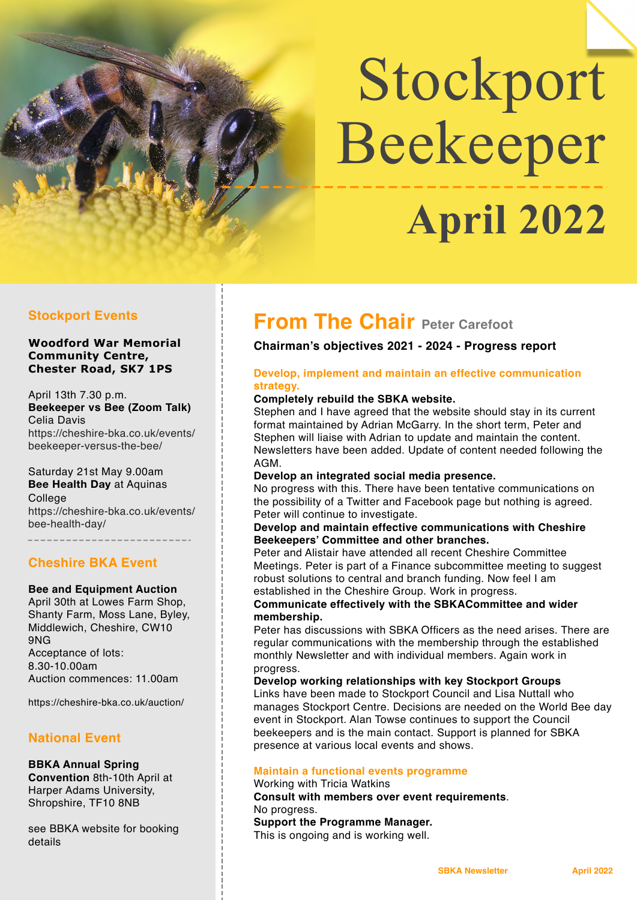# Stockport Beekeeper  **April 2022**

#### **Woodford War Memorial Community Centre, Chester Road, SK7 1PS**

April 13th 7.30 p.m. **Beekeeper vs Bee (Zoom Talk)** Celia Davis [https://cheshire-bka.co.uk/events/](https://cheshire-bka.co.uk/events/beekeeper-versus-the-bee/) [beekeeper-versus-the-bee/](https://cheshire-bka.co.uk/events/beekeeper-versus-the-bee/)

Saturday 21st May 9.00am **Bee Health Day** at Aquinas **College** [https://cheshire-bka.co.uk/events/](https://cheshire-bka.co.uk/events/bee-health-day/) [bee-health-day/](https://cheshire-bka.co.uk/events/bee-health-day/)

#### **Cheshire BKA Event**

#### **Bee and Equipment Auction**

April 30th at Lowes Farm Shop, Shanty Farm, Moss Lane, Byley, Middlewich, Cheshire, CW10 9NG Acceptance of lots: 8.30-10.00am Auction commences: 11.00am

<https://cheshire-bka.co.uk/auction/>

#### **National Event**

**BBKA Annual Spring Convention** 8th-10th April at Harper Adams University, Shropshire, TF10 8NB

see BBKA website for booking details

## **From The Chair Peter Carefoot**

#### **Chairman's objectives 2021 - 2024 - Progress report**

#### **Develop, implement and maintain an effective communication strategy.**

#### **Completely rebuild the SBKA website.**

Stephen and I have agreed that the website should stay in its current format maintained by Adrian McGarry. In the short term, Peter and Stephen will liaise with Adrian to update and maintain the content. Newsletters have been added. Update of content needed following the AGM.

#### **Develop an integrated social media presence.**

No progress with this. There have been tentative communications on the possibility of a Twitter and Facebook page but nothing is agreed. Peter will continue to investigate.

#### **Develop and maintain effective communications with Cheshire Beekeepers' Committee and other branches.**

Peter and Alistair have attended all recent Cheshire Committee Meetings. Peter is part of a Finance subcommittee meeting to suggest robust solutions to central and branch funding. Now feel I am established in the Cheshire Group. Work in progress.

#### **Communicate effectively with the SBKACommittee and wider membership.**

Peter has discussions with SBKA Officers as the need arises. There are regular communications with the membership through the established monthly Newsletter and with individual members. Again work in progress.

**Develop working relationships with key Stockport Groups** Links have been made to Stockport Council and Lisa Nuttall who manages Stockport Centre. Decisions are needed on the World Bee day event in Stockport. Alan Towse continues to support the Council beekeepers and is the main contact. Support is planned for SBKA presence at various local events and shows.

#### **Maintain a functional events programme**

Working with Tricia Watkins **Consult with members over event requirements**. No progress. **Support the Programme Manager.** This is ongoing and is working well.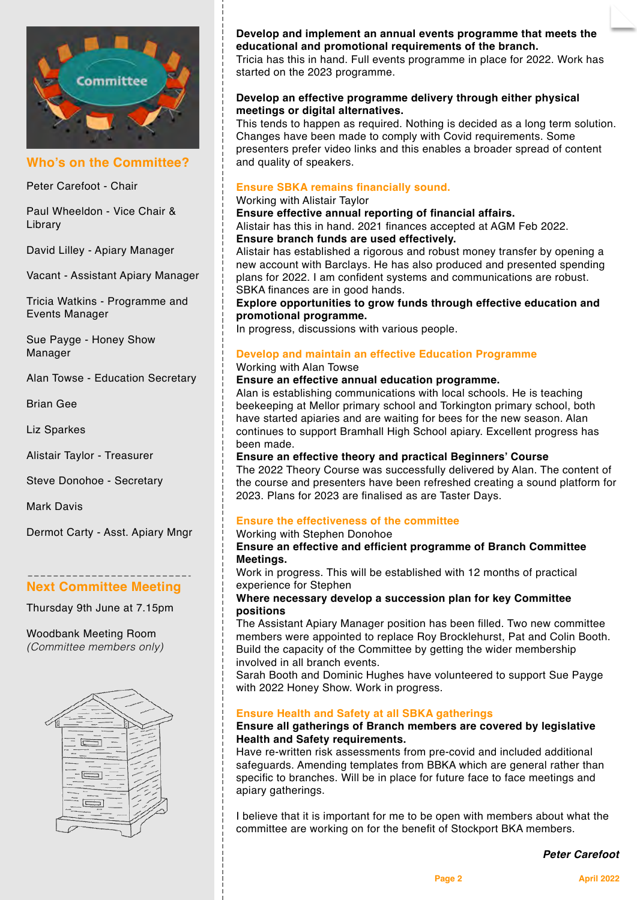

#### **Who's on the Committee?**

Peter Carefoot - Chair

Paul Wheeldon - Vice Chair & Library

David Lilley - Apiary Manager

Vacant - Assistant Apiary Manager

Tricia Watkins - Programme and Events Manager

Sue Payge - Honey Show Manager

Alan Towse - Education Secretary

Brian Gee

Liz Sparkes

Alistair Taylor - Treasurer

Steve Donohoe - Secretary

Mark Davis

Dermot Carty - Asst. Apiary Mngr

#### **Next Committee Meeting**

Thursday 9th June at 7.15pm

Woodbank Meeting Room *(Committee members only)*



**Develop and implement an annual events programme that meets the educational and promotional requirements of the branch.**

Tricia has this in hand. Full events programme in place for 2022. Work has started on the 2023 programme.

#### **Develop an effective programme delivery through either physical meetings or digital alternatives.**

This tends to happen as required. Nothing is decided as a long term solution. Changes have been made to comply with Covid requirements. Some presenters prefer video links and this enables a broader spread of content and quality of speakers.

#### **Ensure SBKA remains financially sound.**

#### Working with Alistair Taylor

**Ensure effective annual reporting of financial affairs.**

Alistair has this in hand. 2021 finances accepted at AGM Feb 2022. **Ensure branch funds are used effectively.**

Alistair has established a rigorous and robust money transfer by opening a new account with Barclays. He has also produced and presented spending plans for 2022. I am confident systems and communications are robust. SBKA finances are in good hands.

**Explore opportunities to grow funds through effective education and promotional programme.**

In progress, discussions with various people.

#### **Develop and maintain an effective Education Programme** Working with Alan Towse

#### **Ensure an effective annual education programme.**

Alan is establishing communications with local schools. He is teaching beekeeping at Mellor primary school and Torkington primary school, both have started apiaries and are waiting for bees for the new season. Alan continues to support Bramhall High School apiary. Excellent progress has been made.

#### **Ensure an effective theory and practical Beginners' Course**

The 2022 Theory Course was successfully delivered by Alan. The content of the course and presenters have been refreshed creating a sound platform for 2023. Plans for 2023 are finalised as are Taster Days.

#### **Ensure the effectiveness of the committee**

Working with Stephen Donohoe

#### **Ensure an effective and efficient programme of Branch Committee Meetings.**

Work in progress. This will be established with 12 months of practical experience for Stephen

#### **Where necessary develop a succession plan for key Committee positions**

The Assistant Apiary Manager position has been filled. Two new committee members were appointed to replace Roy Brocklehurst, Pat and Colin Booth. Build the capacity of the Committee by getting the wider membership involved in all branch events.

Sarah Booth and Dominic Hughes have volunteered to support Sue Payge with 2022 Honey Show. Work in progress.

#### **Ensure Health and Safety at all SBKA gatherings**

#### **Ensure all gatherings of Branch members are covered by legislative Health and Safety requirements.**

Have re-written risk assessments from pre-covid and included additional safeguards. Amending templates from BBKA which are general rather than specific to branches. Will be in place for future face to face meetings and apiary gatherings.

I believe that it is important for me to be open with members about what the committee are working on for the benefit of Stockport BKA members.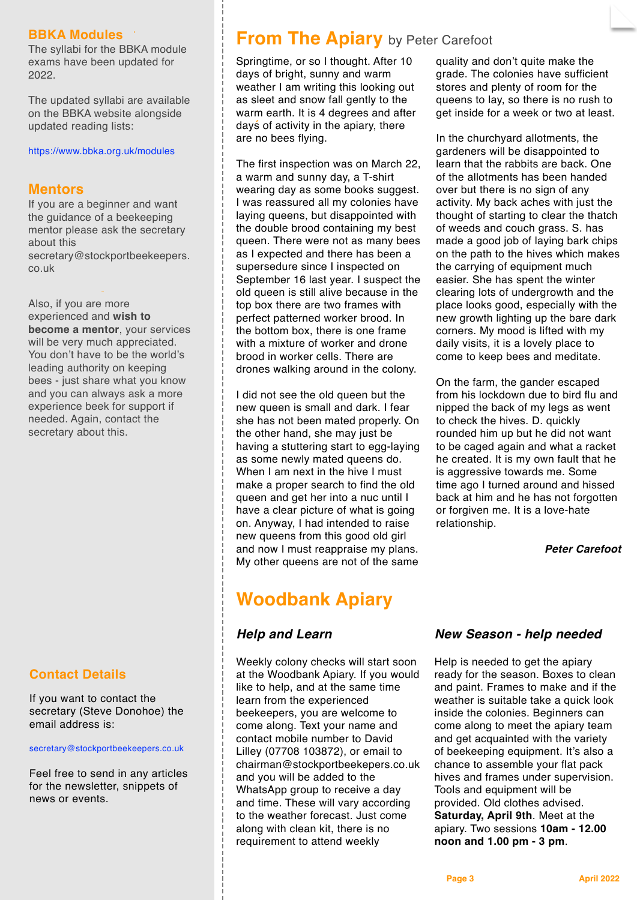#### **BBKA Modules**

The syllabi for the BBKA module exams have been updated for 2022.

The updated syllabi are available on the BBKA website alongside updated reading lists:

#### <https://www.bbka.org.uk/modules>

#### **Mentors**

If you are a beginner and want the guidance of a beekeeping mentor please ask the secretary about this [secretary@stockportbeekeepers.](mailto:secretary@stockportbeekeepers.co.uk) [co.uk](mailto:secretary@stockportbeekeepers.co.uk)

Also, if you are more experienced and **wish to become a mentor**, your services will be very much appreciated. You don't have to be the world's leading authority on keeping bees - just share what you know and you can always ask a more experience beek for support if needed. Again, contact the secretary about this.

#### **Contact Details**

If you want to contact the secretary (Steve Donohoe) the email address is:

#### [secretary@stockportbeekeepers.co.uk](mailto:secretary@stockportbeekeepers.co.uk)

Feel free to send in any articles for the newsletter, snippets of news or events.

### **From The Apiary** by Peter Carefoot

Springtime, or so I thought. After 10 days of bright, sunny and warm weather I am writing this looking out as sleet and snow fall gently to the warm earth. It is 4 degrees and after days of activity in the apiary, there are no bees flying.

The first inspection was on March 22, a warm and sunny day, a T-shirt wearing day as some books suggest. I was reassured all my colonies have laying queens, but disappointed with the double brood containing my best queen. There were not as many bees as I expected and there has been a supersedure since I inspected on September 16 last year. I suspect the old queen is still alive because in the top box there are two frames with perfect patterned worker brood. In the bottom box, there is one frame with a mixture of worker and drone brood in worker cells. There are drones walking around in the colony.

I did not see the old queen but the new queen is small and dark. I fear she has not been mated properly. On the other hand, she may just be having a stuttering start to egg-laying as some newly mated queens do. When I am next in the hive I must make a proper search to find the old queen and get her into a nuc until I have a clear picture of what is going on. Anyway, I had intended to raise new queens from this good old girl and now I must reappraise my plans. My other queens are not of the same

## **Woodbank Apiary**

#### *Help and Learn*

Weekly colony checks will start soon at the Woodbank Apiary. If you would like to help, and at the same time learn from the experienced beekeepers, you are welcome to come along. Text your name and contact mobile number to David Lilley (07708 103872), or email to [chairman@stockportbeekepers.co.uk](mailto:chairman@stockportbeekepers.co.uk)  and you will be added to the WhatsApp group to receive a day and time. These will vary according to the weather forecast. Just come along with clean kit, there is no requirement to attend weekly

quality and don't quite make the grade. The colonies have sufficient stores and plenty of room for the queens to lay, so there is no rush to get inside for a week or two at least.

In the churchyard allotments, the gardeners will be disappointed to learn that the rabbits are back. One of the allotments has been handed over but there is no sign of any activity. My back aches with just the thought of starting to clear the thatch of weeds and couch grass. S. has made a good job of laying bark chips on the path to the hives which makes the carrying of equipment much easier. She has spent the winter clearing lots of undergrowth and the place looks good, especially with the new growth lighting up the bare dark corners. My mood is lifted with my daily visits, it is a lovely place to come to keep bees and meditate.

On the farm, the gander escaped from his lockdown due to bird flu and nipped the back of my legs as went to check the hives. D. quickly rounded him up but he did not want to be caged again and what a racket he created. It is my own fault that he is aggressive towards me. Some time ago I turned around and hissed back at him and he has not forgotten or forgiven me. It is a love-hate relationship.

*Peter Carefoot*

#### *New Season - help needed*

Help is needed to get the apiary ready for the season. Boxes to clean and paint. Frames to make and if the weather is suitable take a quick look inside the colonies. Beginners can come along to meet the apiary team and get acquainted with the variety of beekeeping equipment. It's also a chance to assemble your flat pack hives and frames under supervision. Tools and equipment will be provided. Old clothes advised. **Saturday, April 9th**. Meet at the apiary. Two sessions **10am - 12.00 noon and 1.00 pm - 3 pm**.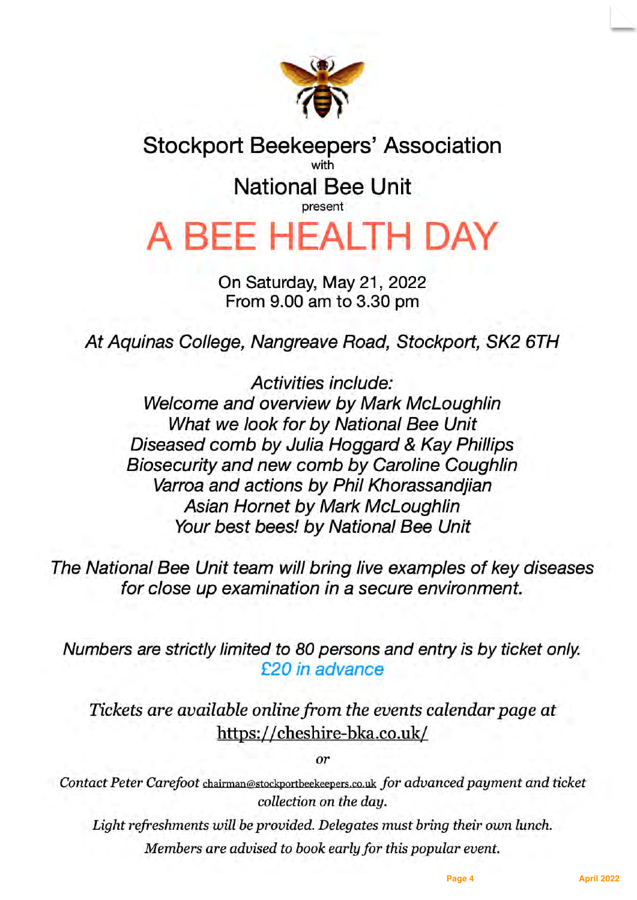

## **Stockport Beekeepers' Association** with **National Bee Unit**

## A BEE HEALTH DAY

On Saturday, May 21, 2022 From 9.00 am to 3.30 pm

At Aquinas College, Nangreave Road, Stockport, SK2 6TH

Activities include: Welcome and overview by Mark McLoughlin What we look for by National Bee Unit Diseased comb by Julia Hoggard & Kay Phillips Biosecurity and new comb by Caroline Coughlin Varroa and actions by Phil Khorassandijan Asian Hornet by Mark McLoughlin Your best bees! by National Bee Unit

The National Bee Unit team will bring live examples of key diseases for close up examination in a secure environment.

Numbers are strictly limited to 80 persons and entry is by ticket only. £20 in advance

Tickets are available online from the events calendar page at https://cheshire-bka.co.uk/

 $\alpha r$ 

Contact Peter Carefoot chairman@stockportbeekeepers.co.uk for advanced payment and ticket collection on the day.

Light refreshments will be provided. Delegates must bring their own lunch. Members are advised to book early for this popular event.

Page 4